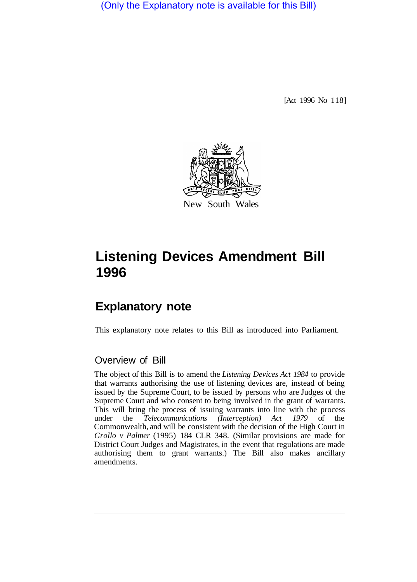(Only the Explanatory note is available for this Bill)

[Act 1996 No 118]



## **Listening Devices Amendment Bill 1996**

## **Explanatory note**

This explanatory note relates to this Bill as introduced into Parliament.

## Overview of Bill

The object of this Bill is to amend the *Listening Devices Act 1984* to provide that warrants authorising the use of listening devices are, instead of being issued by the Supreme Court, to be issued by persons who are Judges of the Supreme Court and who consent to being involved in the grant of warrants. This will bring the process of issuing warrants into line with the process under the *Telecommunications (Interception) Act 1979* of the Commonwealth, and will be consistent with the decision of the High Court in *Grollo v Palmer* (1995) 184 CLR 348. (Similar provisions are made for District Court Judges and Magistrates, in the event that regulations are made authorising them to grant warrants.) The Bill also makes ancillary amendments.